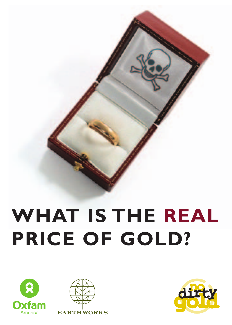# **WHAT IS THE REAL PRICE OF GOLD?**





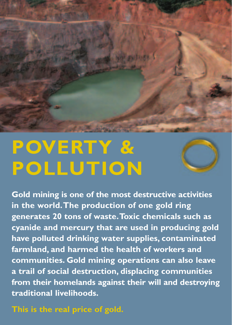

# **POVERTY & POLLUTION**



**Gold mining is one of the most destructive activities in the world.The production of one gold ring generates 20 tons of waste.Toxic chemicals such as cyanide and mercury that are used in producing gold have polluted drinking water supplies, contaminated farmland, and harmed the health of workers and communities. Gold mining operations can also leave a trail of social destruction, displacing communities from their homelands against their will and destroying traditional livelihoods.**

**This is the real price of gold.**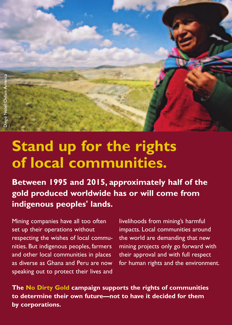

## **Stand up for the rights of local communities.**

**Between 1995 and 2015, approximately half of the gold produced worldwide has or will come from indigenous peoples' lands.**

Mining companies have all too often set up their operations without respecting the wishes of local communities. But indigenous peoples, farmers and other local communities in places as diverse as Ghana and Peru are now speaking out to protect their lives and livelihoods from mining's harmful impacts. Local communities around the world are demanding that new mining projects only go forward with their approval and with full respect for human rights and the environment.

**The No Dirty Gold campaign supports the rights of communities to determine their own future—not to have it decided for them by corporations.**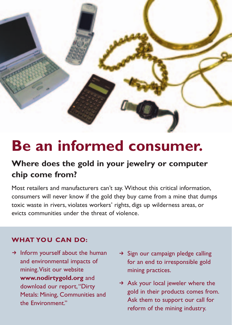

## **Be an informed consumer.**

## **Where does the gold in your jewelry or computer chip come from?**

Most retailers and manufacturers can't say. Without this critical information, consumers will never know if the gold they buy came from a mine that dumps toxic waste in rivers, violates workers' rights, digs up wilderness areas, or evicts communities under the threat of violence.

## **WHAT YOU CAN DO:**

- $\rightarrow$  Inform yourself about the human and environmental impacts of mining.Visit our website **www.nodirtygold.org** and download our report, "Dirty Metals: Mining, Communities and the Environment."
- $\rightarrow$  Sign our campaign pledge calling for an end to irresponsible gold mining practices.
- $\rightarrow$  Ask your local jeweler where the gold in their products comes from. Ask them to support our call for reform of the mining industry.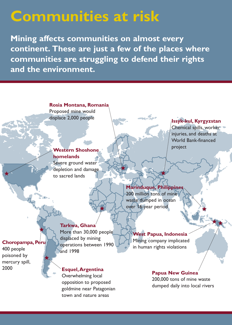## **Communities at risk**

**Mining affects communities on almost every continent. These are just a few of the places where communities are struggling to defend their rights and the environment.**

> **Rosia Montana, Romania** Proposed mine would displace 2,000 people **Issyk-kul, Kyrgyzstan**

## **Western Shoshone homelands**

Severe ground water depletion and damage to sacred lands

Chemical spills, worker injuries, and deaths at World Bank-financed project

## **Marinduque, Philippines**

200 million tons of mine waste dumped in ocean over 16-year period

## **Choropampa, Peru**

400 people poisoned by mercury spill, 2000

### **Tarkwa, Ghana**

More than 30,000 people displaced by mining operations between 1990 and 1998

### **Esquel,Argentina**

Overwhelming local opposition to proposed goldmine near Patagonian town and nature areas

### **West Papua, Indonesia**

Mining company implicated in human rights violations

## **Papua New Guinea**

200,000 tons of mine waste dumped daily into local rivers